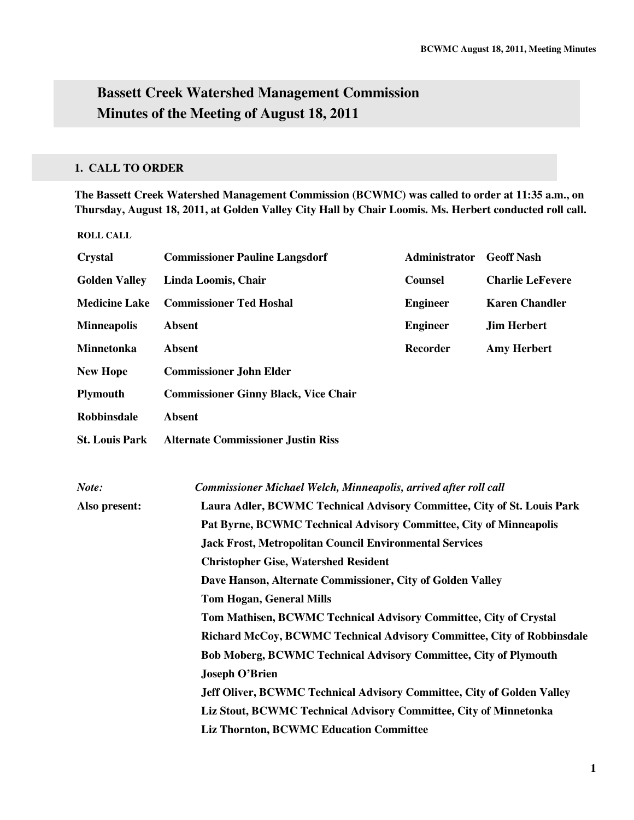# **Bassett Creek Watershed Management Commission Minutes of the Meeting of August 18, 2011**

# **1. CALL TO ORDER**

**The Bassett Creek Watershed Management Commission (BCWMC) was called to order at 11:35 a.m., on Thursday, August 18, 2011, at Golden Valley City Hall by Chair Loomis. Ms. Herbert conducted roll call.** 

| <b>Crystal</b>        | <b>Commissioner Pauline Langsdorf</b>                                   | Administrator   | <b>Geoff Nash</b>       |  |
|-----------------------|-------------------------------------------------------------------------|-----------------|-------------------------|--|
| <b>Golden Valley</b>  | Linda Loomis, Chair                                                     | <b>Counsel</b>  | <b>Charlie LeFevere</b> |  |
| <b>Medicine Lake</b>  | <b>Commissioner Ted Hoshal</b>                                          | <b>Engineer</b> | <b>Karen Chandler</b>   |  |
| <b>Minneapolis</b>    | <b>Absent</b>                                                           | <b>Engineer</b> | <b>Jim Herbert</b>      |  |
| Minnetonka            | <b>Absent</b>                                                           | <b>Recorder</b> | <b>Amy Herbert</b>      |  |
| <b>New Hope</b>       | <b>Commissioner John Elder</b>                                          |                 |                         |  |
| Plymouth              | <b>Commissioner Ginny Black, Vice Chair</b>                             |                 |                         |  |
| <b>Robbinsdale</b>    | <b>Absent</b>                                                           |                 |                         |  |
| <b>St. Louis Park</b> | <b>Alternate Commissioner Justin Riss</b>                               |                 |                         |  |
|                       |                                                                         |                 |                         |  |
| Note:                 | Commissioner Michael Welch, Minneapolis, arrived after roll call        |                 |                         |  |
| Also present:         | Laura Adler, BCWMC Technical Advisory Committee, City of St. Louis Park |                 |                         |  |
|                       | Pat Byrne, BCWMC Technical Advisory Committee, City of Minneapolis      |                 |                         |  |
|                       | <b>Jack Frost, Metropolitan Council Environmental Services</b>          |                 |                         |  |
|                       | <b>Christopher Gise, Watershed Resident</b>                             |                 |                         |  |
|                       | Dave Hanson, Alternate Commissioner, City of Golden Valley              |                 |                         |  |
|                       | <b>Tom Hogan, General Mills</b>                                         |                 |                         |  |
|                       | Tom Mathisen, BCWMC Technical Advisory Committee, City of Crystal       |                 |                         |  |
|                       | Richard McCoy, BCWMC Technical Advisory Committee, City of Robbinsdale  |                 |                         |  |
|                       | <b>Bob Moberg, BCWMC Technical Advisory Committee, City of Plymouth</b> |                 |                         |  |
|                       | <b>Joseph O'Brien</b>                                                   |                 |                         |  |
|                       | Jeff Oliver, BCWMC Technical Advisory Committee, City of Golden Valley  |                 |                         |  |
|                       | Liz Stout, BCWMC Technical Advisory Committee, City of Minnetonka       |                 |                         |  |
|                       | <b>Liz Thornton, BCWMC Education Committee</b>                          |                 |                         |  |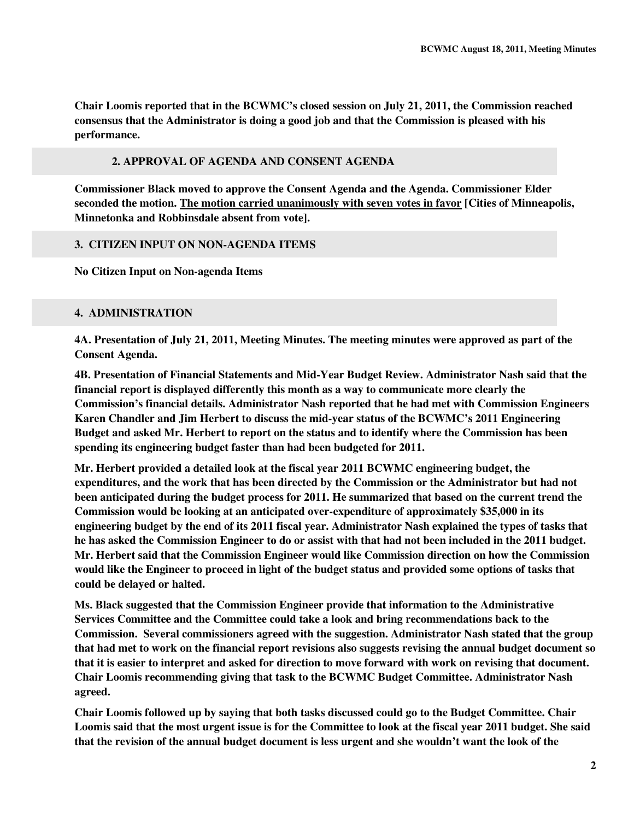**Chair Loomis reported that in the BCWMC's closed session on July 21, 2011, the Commission reached consensus that the Administrator is doing a good job and that the Commission is pleased with his performance.** 

# **2. APPROVAL OF AGENDA AND CONSENT AGENDA**

**Commissioner Black moved to approve the Consent Agenda and the Agenda. Commissioner Elder seconded the motion. The motion carried unanimously with seven votes in favor [Cities of Minneapolis, Minnetonka and Robbinsdale absent from vote].** 

# **3. CITIZEN INPUT ON NON-AGENDA ITEMS**

**No Citizen Input on Non-agenda Items** 

# **4. ADMINISTRATION**

**4A. Presentation of July 21, 2011, Meeting Minutes. The meeting minutes were approved as part of the Consent Agenda.** 

**4B. Presentation of Financial Statements and Mid-Year Budget Review. Administrator Nash said that the financial report is displayed differently this month as a way to communicate more clearly the Commission's financial details. Administrator Nash reported that he had met with Commission Engineers Karen Chandler and Jim Herbert to discuss the mid-year status of the BCWMC's 2011 Engineering Budget and asked Mr. Herbert to report on the status and to identify where the Commission has been spending its engineering budget faster than had been budgeted for 2011.** 

**Mr. Herbert provided a detailed look at the fiscal year 2011 BCWMC engineering budget, the expenditures, and the work that has been directed by the Commission or the Administrator but had not been anticipated during the budget process for 2011. He summarized that based on the current trend the Commission would be looking at an anticipated over-expenditure of approximately \$35,000 in its engineering budget by the end of its 2011 fiscal year. Administrator Nash explained the types of tasks that he has asked the Commission Engineer to do or assist with that had not been included in the 2011 budget. Mr. Herbert said that the Commission Engineer would like Commission direction on how the Commission would like the Engineer to proceed in light of the budget status and provided some options of tasks that could be delayed or halted.** 

**Ms. Black suggested that the Commission Engineer provide that information to the Administrative Services Committee and the Committee could take a look and bring recommendations back to the Commission. Several commissioners agreed with the suggestion. Administrator Nash stated that the group that had met to work on the financial report revisions also suggests revising the annual budget document so that it is easier to interpret and asked for direction to move forward with work on revising that document. Chair Loomis recommending giving that task to the BCWMC Budget Committee. Administrator Nash agreed.** 

**Chair Loomis followed up by saying that both tasks discussed could go to the Budget Committee. Chair Loomis said that the most urgent issue is for the Committee to look at the fiscal year 2011 budget. She said that the revision of the annual budget document is less urgent and she wouldn't want the look of the**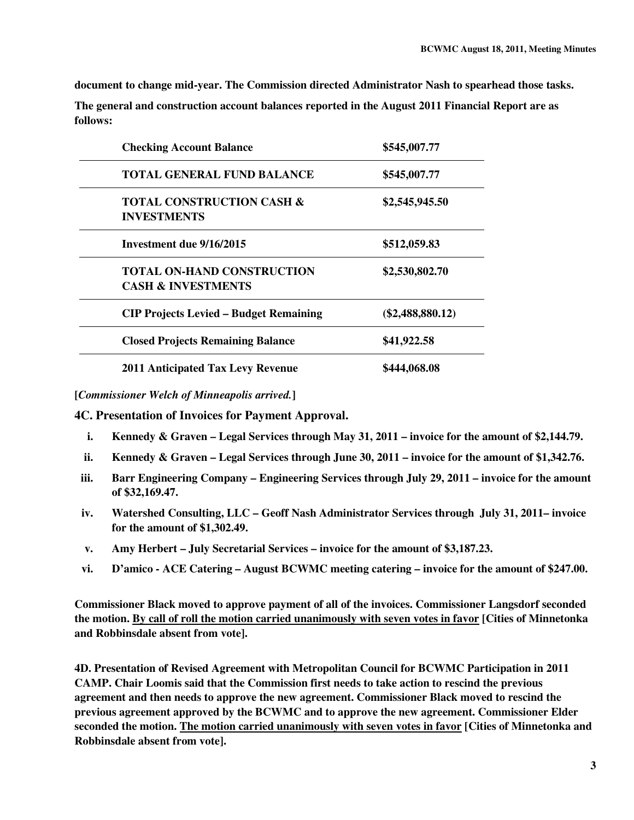**document to change mid-year. The Commission directed Administrator Nash to spearhead those tasks.** 

**The general and construction account balances reported in the August 2011 Financial Report are as follows:** 

| <b>Checking Account Balance</b>                                    | \$545,007.77       |  |
|--------------------------------------------------------------------|--------------------|--|
| <b>TOTAL GENERAL FUND BALANCE</b>                                  | \$545,007.77       |  |
| <b>TOTAL CONSTRUCTION CASH &amp;</b><br><b>INVESTMENTS</b>         | \$2,545,945.50     |  |
| Investment due 9/16/2015                                           | \$512,059.83       |  |
| <b>TOTAL ON-HAND CONSTRUCTION</b><br><b>CASH &amp; INVESTMENTS</b> | \$2,530,802.70     |  |
| <b>CIP Projects Levied – Budget Remaining</b>                      | $(\$2,488,880.12)$ |  |
| <b>Closed Projects Remaining Balance</b>                           | \$41,922.58        |  |
| <b>2011 Anticipated Tax Levy Revenue</b>                           | \$444,068.08       |  |

**[***Commissioner Welch of Minneapolis arrived.***]**

**4C. Presentation of Invoices for Payment Approval.** 

- **i. Kennedy & Graven Legal Services through May 31, 2011 invoice for the amount of \$2,144.79.**
- **ii. Kennedy & Graven Legal Services through June 30, 2011 invoice for the amount of \$1,342.76.**
- **iii. Barr Engineering Company Engineering Services through July 29, 2011 invoice for the amount of \$32,169.47.**
- **iv. Watershed Consulting, LLC Geoff Nash Administrator Services through July 31, 2011– invoice for the amount of \$1,302.49.**
- **v. Amy Herbert July Secretarial Services invoice for the amount of \$3,187.23.**
- **vi. D'amico ACE Catering August BCWMC meeting catering invoice for the amount of \$247.00.**

**Commissioner Black moved to approve payment of all of the invoices. Commissioner Langsdorf seconded the motion. By call of roll the motion carried unanimously with seven votes in favor [Cities of Minnetonka and Robbinsdale absent from vote].** 

**4D. Presentation of Revised Agreement with Metropolitan Council for BCWMC Participation in 2011 CAMP. Chair Loomis said that the Commission first needs to take action to rescind the previous agreement and then needs to approve the new agreement. Commissioner Black moved to rescind the previous agreement approved by the BCWMC and to approve the new agreement. Commissioner Elder seconded the motion. The motion carried unanimously with seven votes in favor [Cities of Minnetonka and Robbinsdale absent from vote].**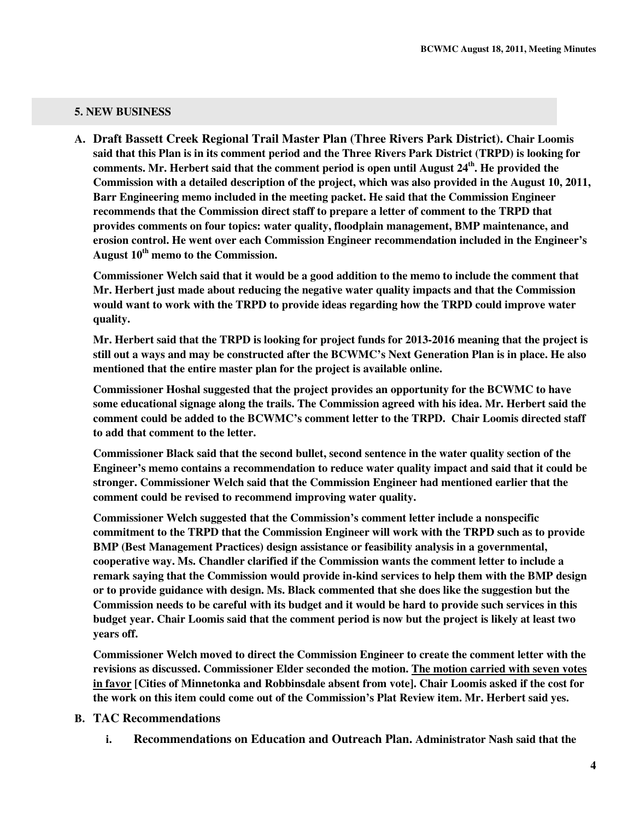#### **5. NEW BUSINESS**

**A. Draft Bassett Creek Regional Trail Master Plan (Three Rivers Park District). Chair Loomis said that this Plan is in its comment period and the Three Rivers Park District (TRPD) is looking for comments. Mr. Herbert said that the comment period is open until August 24th. He provided the Commission with a detailed description of the project, which was also provided in the August 10, 2011, Barr Engineering memo included in the meeting packet. He said that the Commission Engineer recommends that the Commission direct staff to prepare a letter of comment to the TRPD that provides comments on four topics: water quality, floodplain management, BMP maintenance, and erosion control. He went over each Commission Engineer recommendation included in the Engineer's August 10th memo to the Commission.** 

**Commissioner Welch said that it would be a good addition to the memo to include the comment that Mr. Herbert just made about reducing the negative water quality impacts and that the Commission would want to work with the TRPD to provide ideas regarding how the TRPD could improve water quality.** 

**Mr. Herbert said that the TRPD is looking for project funds for 2013-2016 meaning that the project is still out a ways and may be constructed after the BCWMC's Next Generation Plan is in place. He also mentioned that the entire master plan for the project is available online.** 

**Commissioner Hoshal suggested that the project provides an opportunity for the BCWMC to have some educational signage along the trails. The Commission agreed with his idea. Mr. Herbert said the comment could be added to the BCWMC's comment letter to the TRPD. Chair Loomis directed staff to add that comment to the letter.** 

**Commissioner Black said that the second bullet, second sentence in the water quality section of the Engineer's memo contains a recommendation to reduce water quality impact and said that it could be stronger. Commissioner Welch said that the Commission Engineer had mentioned earlier that the comment could be revised to recommend improving water quality.** 

**Commissioner Welch suggested that the Commission's comment letter include a nonspecific commitment to the TRPD that the Commission Engineer will work with the TRPD such as to provide BMP (Best Management Practices) design assistance or feasibility analysis in a governmental, cooperative way. Ms. Chandler clarified if the Commission wants the comment letter to include a remark saying that the Commission would provide in-kind services to help them with the BMP design or to provide guidance with design. Ms. Black commented that she does like the suggestion but the Commission needs to be careful with its budget and it would be hard to provide such services in this budget year. Chair Loomis said that the comment period is now but the project is likely at least two years off.** 

**Commissioner Welch moved to direct the Commission Engineer to create the comment letter with the revisions as discussed. Commissioner Elder seconded the motion. The motion carried with seven votes in favor [Cities of Minnetonka and Robbinsdale absent from vote]. Chair Loomis asked if the cost for the work on this item could come out of the Commission's Plat Review item. Mr. Herbert said yes.** 

#### **B. TAC Recommendations**

**i. Recommendations on Education and Outreach Plan. Administrator Nash said that the**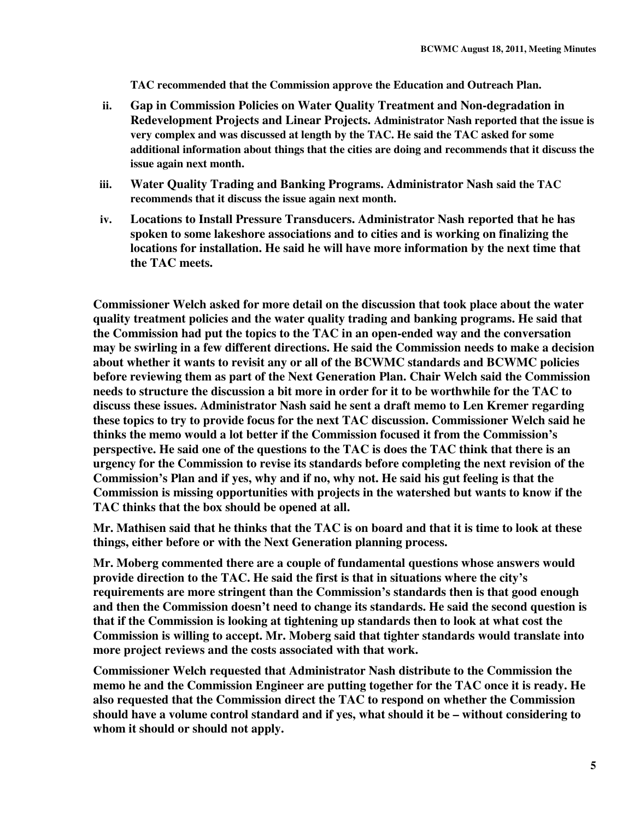**TAC recommended that the Commission approve the Education and Outreach Plan.** 

- **ii. Gap in Commission Policies on Water Quality Treatment and Non-degradation in Redevelopment Projects and Linear Projects. Administrator Nash reported that the issue is very complex and was discussed at length by the TAC. He said the TAC asked for some additional information about things that the cities are doing and recommends that it discuss the issue again next month.**
- **iii. Water Quality Trading and Banking Programs. Administrator Nash said the TAC recommends that it discuss the issue again next month.**
- **iv. Locations to Install Pressure Transducers. Administrator Nash reported that he has spoken to some lakeshore associations and to cities and is working on finalizing the locations for installation. He said he will have more information by the next time that the TAC meets.**

**Commissioner Welch asked for more detail on the discussion that took place about the water quality treatment policies and the water quality trading and banking programs. He said that the Commission had put the topics to the TAC in an open-ended way and the conversation may be swirling in a few different directions. He said the Commission needs to make a decision about whether it wants to revisit any or all of the BCWMC standards and BCWMC policies before reviewing them as part of the Next Generation Plan. Chair Welch said the Commission needs to structure the discussion a bit more in order for it to be worthwhile for the TAC to discuss these issues. Administrator Nash said he sent a draft memo to Len Kremer regarding these topics to try to provide focus for the next TAC discussion. Commissioner Welch said he thinks the memo would a lot better if the Commission focused it from the Commission's perspective. He said one of the questions to the TAC is does the TAC think that there is an urgency for the Commission to revise its standards before completing the next revision of the Commission's Plan and if yes, why and if no, why not. He said his gut feeling is that the Commission is missing opportunities with projects in the watershed but wants to know if the TAC thinks that the box should be opened at all.** 

**Mr. Mathisen said that he thinks that the TAC is on board and that it is time to look at these things, either before or with the Next Generation planning process.** 

**Mr. Moberg commented there are a couple of fundamental questions whose answers would provide direction to the TAC. He said the first is that in situations where the city's requirements are more stringent than the Commission's standards then is that good enough and then the Commission doesn't need to change its standards. He said the second question is that if the Commission is looking at tightening up standards then to look at what cost the Commission is willing to accept. Mr. Moberg said that tighter standards would translate into more project reviews and the costs associated with that work.** 

**Commissioner Welch requested that Administrator Nash distribute to the Commission the memo he and the Commission Engineer are putting together for the TAC once it is ready. He also requested that the Commission direct the TAC to respond on whether the Commission should have a volume control standard and if yes, what should it be – without considering to whom it should or should not apply.**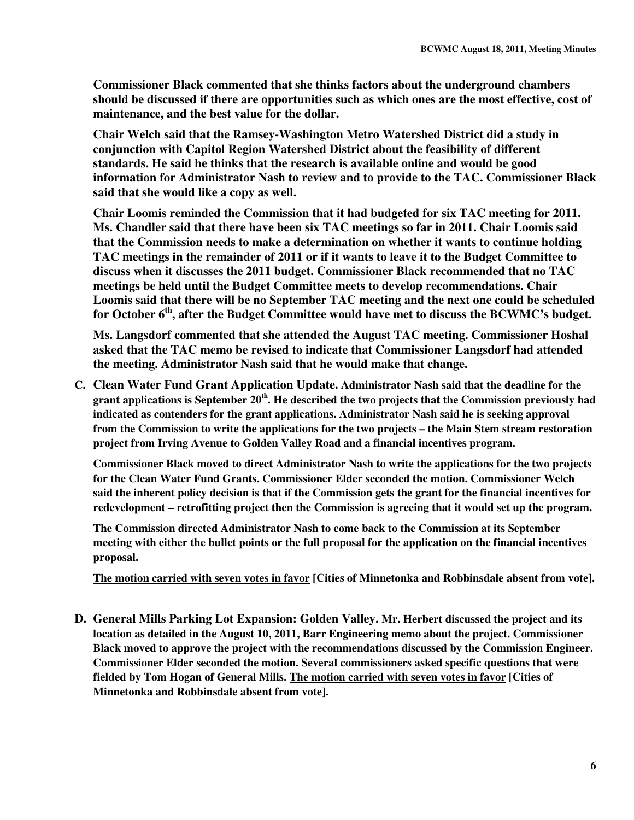**Commissioner Black commented that she thinks factors about the underground chambers should be discussed if there are opportunities such as which ones are the most effective, cost of maintenance, and the best value for the dollar.** 

**Chair Welch said that the Ramsey-Washington Metro Watershed District did a study in conjunction with Capitol Region Watershed District about the feasibility of different standards. He said he thinks that the research is available online and would be good information for Administrator Nash to review and to provide to the TAC. Commissioner Black said that she would like a copy as well.** 

**Chair Loomis reminded the Commission that it had budgeted for six TAC meeting for 2011. Ms. Chandler said that there have been six TAC meetings so far in 2011. Chair Loomis said that the Commission needs to make a determination on whether it wants to continue holding TAC meetings in the remainder of 2011 or if it wants to leave it to the Budget Committee to discuss when it discusses the 2011 budget. Commissioner Black recommended that no TAC meetings be held until the Budget Committee meets to develop recommendations. Chair Loomis said that there will be no September TAC meeting and the next one could be scheduled for October 6th, after the Budget Committee would have met to discuss the BCWMC's budget.** 

**Ms. Langsdorf commented that she attended the August TAC meeting. Commissioner Hoshal asked that the TAC memo be revised to indicate that Commissioner Langsdorf had attended the meeting. Administrator Nash said that he would make that change.** 

**C. Clean Water Fund Grant Application Update. Administrator Nash said that the deadline for the grant applications is September 20th. He described the two projects that the Commission previously had indicated as contenders for the grant applications. Administrator Nash said he is seeking approval from the Commission to write the applications for the two projects – the Main Stem stream restoration project from Irving Avenue to Golden Valley Road and a financial incentives program.** 

**Commissioner Black moved to direct Administrator Nash to write the applications for the two projects for the Clean Water Fund Grants. Commissioner Elder seconded the motion. Commissioner Welch said the inherent policy decision is that if the Commission gets the grant for the financial incentives for redevelopment – retrofitting project then the Commission is agreeing that it would set up the program.**

**The Commission directed Administrator Nash to come back to the Commission at its September meeting with either the bullet points or the full proposal for the application on the financial incentives proposal.** 

**The motion carried with seven votes in favor [Cities of Minnetonka and Robbinsdale absent from vote].** 

**D. General Mills Parking Lot Expansion: Golden Valley. Mr. Herbert discussed the project and its location as detailed in the August 10, 2011, Barr Engineering memo about the project. Commissioner Black moved to approve the project with the recommendations discussed by the Commission Engineer. Commissioner Elder seconded the motion. Several commissioners asked specific questions that were fielded by Tom Hogan of General Mills. The motion carried with seven votes in favor [Cities of Minnetonka and Robbinsdale absent from vote].**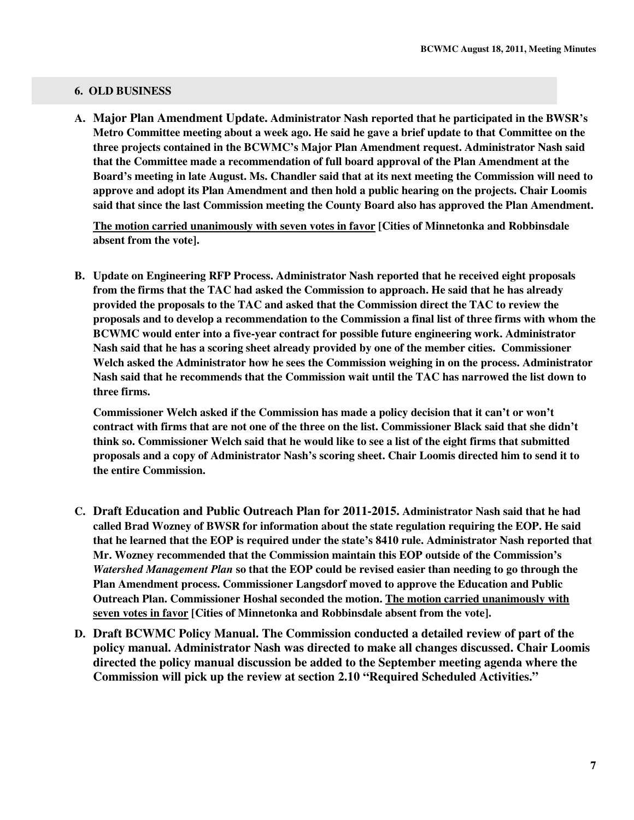#### **6. OLD BUSINESS**

**A. Major Plan Amendment Update. Administrator Nash reported that he participated in the BWSR's Metro Committee meeting about a week ago. He said he gave a brief update to that Committee on the three projects contained in the BCWMC's Major Plan Amendment request. Administrator Nash said that the Committee made a recommendation of full board approval of the Plan Amendment at the Board's meeting in late August. Ms. Chandler said that at its next meeting the Commission will need to approve and adopt its Plan Amendment and then hold a public hearing on the projects. Chair Loomis said that since the last Commission meeting the County Board also has approved the Plan Amendment.** 

**The motion carried unanimously with seven votes in favor [Cities of Minnetonka and Robbinsdale absent from the vote].** 

**B. Update on Engineering RFP Process. Administrator Nash reported that he received eight proposals from the firms that the TAC had asked the Commission to approach. He said that he has already provided the proposals to the TAC and asked that the Commission direct the TAC to review the proposals and to develop a recommendation to the Commission a final list of three firms with whom the BCWMC would enter into a five-year contract for possible future engineering work. Administrator Nash said that he has a scoring sheet already provided by one of the member cities. Commissioner Welch asked the Administrator how he sees the Commission weighing in on the process. Administrator Nash said that he recommends that the Commission wait until the TAC has narrowed the list down to three firms.** 

**Commissioner Welch asked if the Commission has made a policy decision that it can't or won't contract with firms that are not one of the three on the list. Commissioner Black said that she didn't think so. Commissioner Welch said that he would like to see a list of the eight firms that submitted proposals and a copy of Administrator Nash's scoring sheet. Chair Loomis directed him to send it to the entire Commission.** 

- **C. Draft Education and Public Outreach Plan for 2011-2015. Administrator Nash said that he had called Brad Wozney of BWSR for information about the state regulation requiring the EOP. He said that he learned that the EOP is required under the state's 8410 rule. Administrator Nash reported that Mr. Wozney recommended that the Commission maintain this EOP outside of the Commission's**  *Watershed Management Plan* **so that the EOP could be revised easier than needing to go through the Plan Amendment process. Commissioner Langsdorf moved to approve the Education and Public Outreach Plan. Commissioner Hoshal seconded the motion. The motion carried unanimously with seven votes in favor [Cities of Minnetonka and Robbinsdale absent from the vote].**
- **D. Draft BCWMC Policy Manual. The Commission conducted a detailed review of part of the policy manual. Administrator Nash was directed to make all changes discussed. Chair Loomis directed the policy manual discussion be added to the September meeting agenda where the Commission will pick up the review at section 2.10 "Required Scheduled Activities."**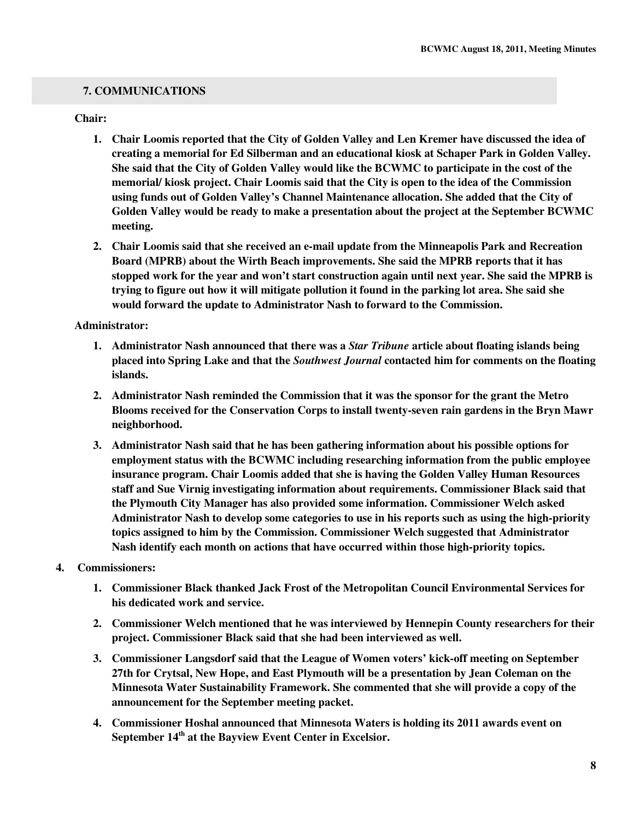# **7. COMMUNICATIONS**

#### **Chair:**

- **1. Chair Loomis reported that the City of Golden Valley and Len Kremer have discussed the idea of creating a memorial for Ed Silberman and an educational kiosk at Schaper Park in Golden Valley. She said that the City of Golden Valley would like the BCWMC to participate in the cost of the memorial/ kiosk project. Chair Loomis said that the City is open to the idea of the Commission using funds out of Golden Valley's Channel Maintenance allocation. She added that the City of Golden Valley would be ready to make a presentation about the project at the September BCWMC meeting.**
- **2. Chair Loomis said that she received an e-mail update from the Minneapolis Park and Recreation Board (MPRB) about the Wirth Beach improvements. She said the MPRB reports that it has stopped work for the year and won't start construction again until next year. She said the MPRB is trying to figure out how it will mitigate pollution it found in the parking lot area. She said she would forward the update to Administrator Nash to forward to the Commission.**

# **Administrator:**

- **1. Administrator Nash announced that there was a** *Star Tribune* **article about floating islands being placed into Spring Lake and that the** *Southwest Journal* **contacted him for comments on the floating islands.**
- **2. Administrator Nash reminded the Commission that it was the sponsor for the grant the Metro Blooms received for the Conservation Corps to install twenty-seven rain gardens in the Bryn Mawr neighborhood.**
- **3. Administrator Nash said that he has been gathering information about his possible options for employment status with the BCWMC including researching information from the public employee insurance program. Chair Loomis added that she is having the Golden Valley Human Resources staff and Sue Virnig investigating information about requirements. Commissioner Black said that the Plymouth City Manager has also provided some information. Commissioner Welch asked Administrator Nash to develop some categories to use in his reports such as using the high-priority topics assigned to him by the Commission. Commissioner Welch suggested that Administrator Nash identify each month on actions that have occurred within those high-priority topics.**

# **4. Commissioners:**

- **1. Commissioner Black thanked Jack Frost of the Metropolitan Council Environmental Services for his dedicated work and service.**
- **2. Commissioner Welch mentioned that he was interviewed by Hennepin County researchers for their project. Commissioner Black said that she had been interviewed as well.**
- **3. Commissioner Langsdorf said that the League of Women voters' kick-off meeting on September 27th for Crytsal, New Hope, and East Plymouth will be a presentation by Jean Coleman on the Minnesota Water Sustainability Framework. She commented that she will provide a copy of the announcement for the September meeting packet.**
- **4. Commissioner Hoshal announced that Minnesota Waters is holding its 2011 awards event on September 14th at the Bayview Event Center in Excelsior.**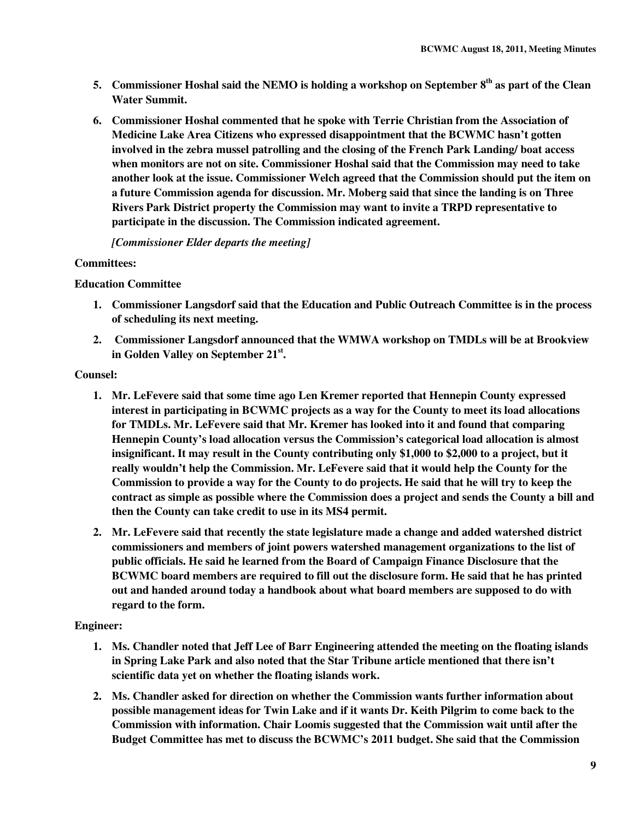- **5. Commissioner Hoshal said the NEMO is holding a workshop on September 8th as part of the Clean Water Summit.**
- **6. Commissioner Hoshal commented that he spoke with Terrie Christian from the Association of Medicine Lake Area Citizens who expressed disappointment that the BCWMC hasn't gotten involved in the zebra mussel patrolling and the closing of the French Park Landing/ boat access when monitors are not on site. Commissioner Hoshal said that the Commission may need to take another look at the issue. Commissioner Welch agreed that the Commission should put the item on a future Commission agenda for discussion. Mr. Moberg said that since the landing is on Three Rivers Park District property the Commission may want to invite a TRPD representative to participate in the discussion. The Commission indicated agreement.**

*[Commissioner Elder departs the meeting]* 

# **Committees:**

# **Education Committee**

- **1. Commissioner Langsdorf said that the Education and Public Outreach Committee is in the process of scheduling its next meeting.**
- **2. Commissioner Langsdorf announced that the WMWA workshop on TMDLs will be at Brookview in Golden Valley on September 21st .**

# **Counsel:**

- **1. Mr. LeFevere said that some time ago Len Kremer reported that Hennepin County expressed interest in participating in BCWMC projects as a way for the County to meet its load allocations for TMDLs. Mr. LeFevere said that Mr. Kremer has looked into it and found that comparing Hennepin County's load allocation versus the Commission's categorical load allocation is almost insignificant. It may result in the County contributing only \$1,000 to \$2,000 to a project, but it really wouldn't help the Commission. Mr. LeFevere said that it would help the County for the Commission to provide a way for the County to do projects. He said that he will try to keep the contract as simple as possible where the Commission does a project and sends the County a bill and then the County can take credit to use in its MS4 permit.**
- **2. Mr. LeFevere said that recently the state legislature made a change and added watershed district commissioners and members of joint powers watershed management organizations to the list of public officials. He said he learned from the Board of Campaign Finance Disclosure that the BCWMC board members are required to fill out the disclosure form. He said that he has printed out and handed around today a handbook about what board members are supposed to do with regard to the form.**

# **Engineer:**

- **1. Ms. Chandler noted that Jeff Lee of Barr Engineering attended the meeting on the floating islands in Spring Lake Park and also noted that the Star Tribune article mentioned that there isn't scientific data yet on whether the floating islands work.**
- **2. Ms. Chandler asked for direction on whether the Commission wants further information about possible management ideas for Twin Lake and if it wants Dr. Keith Pilgrim to come back to the Commission with information. Chair Loomis suggested that the Commission wait until after the Budget Committee has met to discuss the BCWMC's 2011 budget. She said that the Commission**